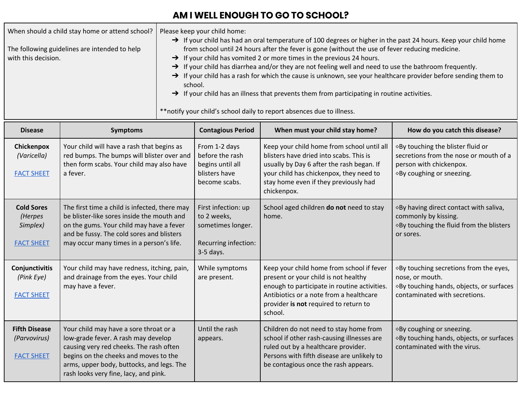## **AM I WELL ENOUGH TO GO TO SCHOOL?**

When should a child stay home or attend school? Please keep your child home: → If your child has had an oral temperature of 100 degrees or higher in the past 24 hours. Keep your child home

The following guidelines are intended to help with this decision.

- from school until 24 hours after the fever is gone (without the use of fever reducing medicine. → If your child has vomited 2 or more times in the previous 24 hours.
- → If your child has diarrhea and/or they are not feeling well and need to use the bathroom frequently.
- → If your child has a rash for which the cause is unknown, see your healthcare provider before sending them to school.
- → If your child has an illness that prevents them from participating in routine activities.

\*\*notify your child's school daily to report absences due to illness.

| <b>Disease</b>                                                | <b>Symptoms</b>                                                                                                                                                                                                                                         | <b>Contagious Period</b>                                                                       | When must your child stay home?                                                                                                                                                                                                       | How do you catch this disease?                                                                                                         |
|---------------------------------------------------------------|---------------------------------------------------------------------------------------------------------------------------------------------------------------------------------------------------------------------------------------------------------|------------------------------------------------------------------------------------------------|---------------------------------------------------------------------------------------------------------------------------------------------------------------------------------------------------------------------------------------|----------------------------------------------------------------------------------------------------------------------------------------|
| Chickenpox<br>(Varicella)<br><b>FACT SHEET</b>                | Your child will have a rash that begins as<br>red bumps. The bumps will blister over and<br>then form scabs. Your child may also have<br>a fever.                                                                                                       | From 1-2 days<br>before the rash<br>begins until all<br>blisters have<br>become scabs.         | Keep your child home from school until all<br>blisters have dried into scabs. This is<br>usually by Day 6 after the rash began. If<br>your child has chickenpox, they need to<br>stay home even if they previously had<br>chickenpox. | ◇By touching the blister fluid or<br>secretions from the nose or mouth of a<br>person with chickenpox.<br>◇By coughing or sneezing.    |
| <b>Cold Sores</b><br>(Herpes<br>Simplex)<br><b>FACT SHEET</b> | The first time a child is infected, there may<br>be blister-like sores inside the mouth and<br>on the gums. Your child may have a fever<br>and be fussy. The cold sores and blisters<br>may occur many times in a person's life.                        | First infection: up<br>to 2 weeks,<br>sometimes longer.<br>Recurring infection:<br>$3-5$ days. | School aged children do not need to stay<br>home.                                                                                                                                                                                     | ◇By having direct contact with saliva,<br>commonly by kissing.<br>◇ By touching the fluid from the blisters<br>or sores.               |
| Conjunctivitis<br>(Pink Eye)<br><b>FACT SHEET</b>             | Your child may have redness, itching, pain,<br>and drainage from the eyes. Your child<br>may have a fever.                                                                                                                                              | While symptoms<br>are present.                                                                 | Keep your child home from school if fever<br>present or your child is not healthy<br>enough to participate in routine activities.<br>Antibiotics or a note from a healthcare<br>provider is not required to return to<br>school.      | ◇By touching secretions from the eyes,<br>nose, or mouth.<br>◇By touching hands, objects, or surfaces<br>contaminated with secretions. |
| <b>Fifth Disease</b><br>(Parvovirus)<br><b>FACT SHEET</b>     | Your child may have a sore throat or a<br>low-grade fever. A rash may develop<br>causing very red cheeks. The rash often<br>begins on the cheeks and moves to the<br>arms, upper body, buttocks, and legs. The<br>rash looks very fine, lacy, and pink. | Until the rash<br>appears.                                                                     | Children do not need to stay home from<br>school if other rash-causing illnesses are<br>ruled out by a healthcare provider.<br>Persons with fifth disease are unlikely to<br>be contagious once the rash appears.                     | ◇By coughing or sneezing.<br>◇By touching hands, objects, or surfaces<br>contaminated with the virus.                                  |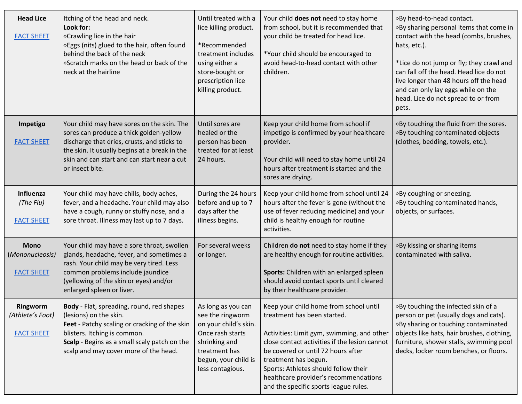| <b>Head Lice</b><br><b>FACT SHEET</b>               | Itching of the head and neck.<br>Look for:<br>◇Crawling lice in the hair<br>◇Eggs (nits) glued to the hair, often found<br>behind the back of the neck<br>◇Scratch marks on the head or back of the<br>neck at the hairline                             | Until treated with a<br>lice killing product.<br>*Recommended<br>treatment includes<br>using either a<br>store-bought or<br>prescription lice<br>killing product. | Your child does not need to stay home<br>from school, but it is recommended that<br>your child be treated for head lice.<br>*Your child should be encouraged to<br>avoid head-to-head contact with other<br>children.                                                                                                                                        | ◇By head-to-head contact.<br>◇ By sharing personal items that come in<br>contact with the head (combs, brushes,<br>hats, etc.).<br>*Lice do not jump or fly; they crawl and<br>can fall off the head. Head lice do not<br>live longer than 48 hours off the head<br>and can only lay eggs while on the<br>head. Lice do not spread to or from<br>pets. |
|-----------------------------------------------------|---------------------------------------------------------------------------------------------------------------------------------------------------------------------------------------------------------------------------------------------------------|-------------------------------------------------------------------------------------------------------------------------------------------------------------------|--------------------------------------------------------------------------------------------------------------------------------------------------------------------------------------------------------------------------------------------------------------------------------------------------------------------------------------------------------------|--------------------------------------------------------------------------------------------------------------------------------------------------------------------------------------------------------------------------------------------------------------------------------------------------------------------------------------------------------|
| Impetigo<br><b>FACT SHEET</b>                       | Your child may have sores on the skin. The<br>sores can produce a thick golden-yellow<br>discharge that dries, crusts, and sticks to<br>the skin. It usually begins at a break in the<br>skin and can start and can start near a cut<br>or insect bite. | Until sores are<br>healed or the<br>person has been<br>treated for at least<br>24 hours.                                                                          | Keep your child home from school if<br>impetigo is confirmed by your healthcare<br>provider.<br>Your child will need to stay home until 24<br>hours after treatment is started and the<br>sores are drying.                                                                                                                                                  | ◇ By touching the fluid from the sores.<br>◇ By touching contaminated objects<br>(clothes, bedding, towels, etc.).                                                                                                                                                                                                                                     |
| Influenza<br>(The Flu)<br><b>FACT SHEET</b>         | Your child may have chills, body aches,<br>fever, and a headache. Your child may also<br>have a cough, runny or stuffy nose, and a<br>sore throat. Illness may last up to 7 days.                                                                       | During the 24 hours<br>before and up to 7<br>days after the<br>illness begins.                                                                                    | Keep your child home from school until 24<br>hours after the fever is gone (without the<br>use of fever reducing medicine) and your<br>child is healthy enough for routine<br>activities.                                                                                                                                                                    | ◇By coughing or sneezing.<br>◇ By touching contaminated hands,<br>objects, or surfaces.                                                                                                                                                                                                                                                                |
| <b>Mono</b><br>(Mononucleosis)<br><b>FACT SHEET</b> | Your child may have a sore throat, swollen<br>glands, headache, fever, and sometimes a<br>rash. Your child may be very tired. Less<br>common problems include jaundice<br>(yellowing of the skin or eyes) and/or<br>enlarged spleen or liver.           | For several weeks<br>or longer.                                                                                                                                   | Children do not need to stay home if they<br>are healthy enough for routine activities.<br>Sports: Children with an enlarged spleen<br>should avoid contact sports until cleared<br>by their healthcare provider.                                                                                                                                            | ◇By kissing or sharing items<br>contaminated with saliva.                                                                                                                                                                                                                                                                                              |
| Ringworm<br>(Athlete's Foot)<br><b>FACT SHEET</b>   | Body - Flat, spreading, round, red shapes<br>(lesions) on the skin.<br>Feet - Patchy scaling or cracking of the skin<br>blisters. Itching is common.<br>Scalp - Begins as a small scaly patch on the<br>scalp and may cover more of the head.           | As long as you can<br>see the ringworm<br>on your child's skin.<br>Once rash starts<br>shrinking and<br>treatment has<br>begun, your child is<br>less contagious. | Keep your child home from school until<br>treatment has been started.<br>Activities: Limit gym, swimming, and other<br>close contact activities if the lesion cannot<br>be covered or until 72 hours after<br>treatment has begun.<br>Sports: Athletes should follow their<br>healthcare provider's recommendations<br>and the specific sports league rules. | ◇By touching the infected skin of a<br>person or pet (usually dogs and cats).<br>◇By sharing or touching contaminated<br>objects like hats, hair brushes, clothing,<br>furniture, shower stalls, swimming pool<br>decks, locker room benches, or floors.                                                                                               |